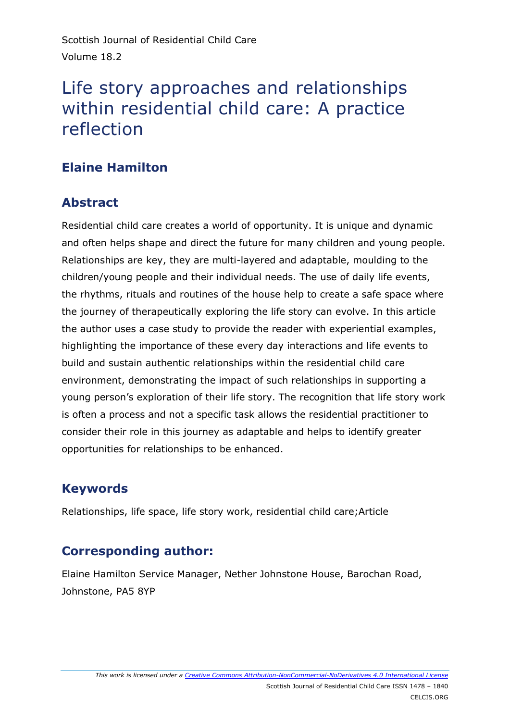Scottish Journal of Residential Child Care Volume 18.2

# Life story approaches and relationships within residential child care: A practice reflection

## **Elaine Hamilton**

### **Abstract**

Residential child care creates a world of opportunity. It is unique and dynamic and often helps shape and direct the future for many children and young people. Relationships are key, they are multi-layered and adaptable, moulding to the children/young people and their individual needs. The use of daily life events, the rhythms, rituals and routines of the house help to create a safe space where the journey of therapeutically exploring the life story can evolve. In this article the author uses a case study to provide the reader with experiential examples, highlighting the importance of these every day interactions and life events to build and sustain authentic relationships within the residential child care environment, demonstrating the impact of such relationships in supporting a young person's exploration of their life story. The recognition that life story work is often a process and not a specific task allows the residential practitioner to consider their role in this journey as adaptable and helps to identify greater opportunities for relationships to be enhanced.

## **Keywords**

Relationships, life space, life story work, residential child care;Article

## **Corresponding author:**

Elaine Hamilton Service Manager, Nether Johnstone House, Barochan Road, Johnstone, PA5 8YP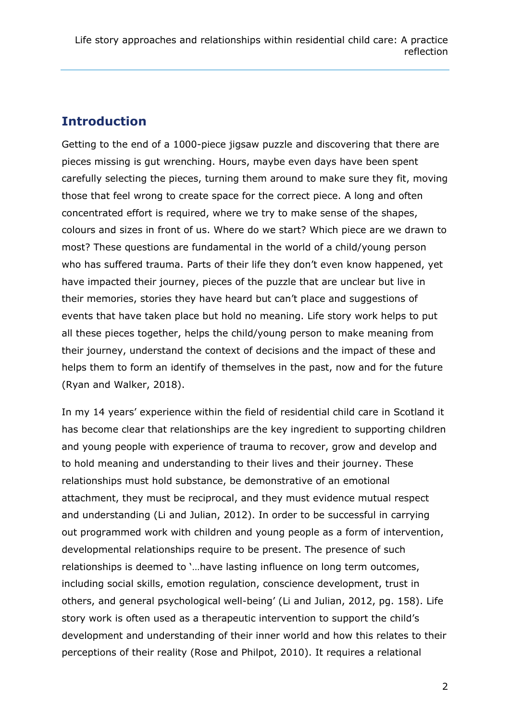#### **Introduction**

Getting to the end of a 1000-piece jigsaw puzzle and discovering that there are pieces missing is gut wrenching. Hours, maybe even days have been spent carefully selecting the pieces, turning them around to make sure they fit, moving those that feel wrong to create space for the correct piece. A long and often concentrated effort is required, where we try to make sense of the shapes, colours and sizes in front of us. Where do we start? Which piece are we drawn to most? These questions are fundamental in the world of a child/young person who has suffered trauma. Parts of their life they don't even know happened, yet have impacted their journey, pieces of the puzzle that are unclear but live in their memories, stories they have heard but can't place and suggestions of events that have taken place but hold no meaning. Life story work helps to put all these pieces together, helps the child/young person to make meaning from their journey, understand the context of decisions and the impact of these and helps them to form an identify of themselves in the past, now and for the future (Ryan and Walker, 2018).

In my 14 years' experience within the field of residential child care in Scotland it has become clear that relationships are the key ingredient to supporting children and young people with experience of trauma to recover, grow and develop and to hold meaning and understanding to their lives and their journey. These relationships must hold substance, be demonstrative of an emotional attachment, they must be reciprocal, and they must evidence mutual respect and understanding (Li and Julian, 2012). In order to be successful in carrying out programmed work with children and young people as a form of intervention, developmental relationships require to be present. The presence of such relationships is deemed to '…have lasting influence on long term outcomes, including social skills, emotion regulation, conscience development, trust in others, and general psychological well-being' (Li and Julian, 2012, pg. 158). Life story work is often used as a therapeutic intervention to support the child's development and understanding of their inner world and how this relates to their perceptions of their reality (Rose and Philpot, 2010). It requires a relational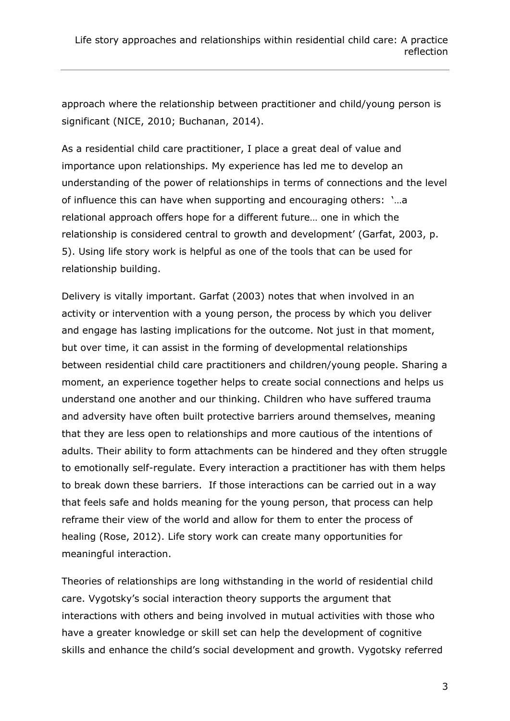approach where the relationship between practitioner and child/young person is significant (NICE, 2010; Buchanan, 2014).

As a residential child care practitioner, I place a great deal of value and importance upon relationships. My experience has led me to develop an understanding of the power of relationships in terms of connections and the level of influence this can have when supporting and encouraging others: '…a relational approach offers hope for a different future… one in which the relationship is considered central to growth and development' (Garfat, 2003, p. 5). Using life story work is helpful as one of the tools that can be used for relationship building.

Delivery is vitally important. Garfat (2003) notes that when involved in an activity or intervention with a young person, the process by which you deliver and engage has lasting implications for the outcome. Not just in that moment, but over time, it can assist in the forming of developmental relationships between residential child care practitioners and children/young people. Sharing a moment, an experience together helps to create social connections and helps us understand one another and our thinking. Children who have suffered trauma and adversity have often built protective barriers around themselves, meaning that they are less open to relationships and more cautious of the intentions of adults. Their ability to form attachments can be hindered and they often struggle to emotionally self-regulate. Every interaction a practitioner has with them helps to break down these barriers. If those interactions can be carried out in a way that feels safe and holds meaning for the young person, that process can help reframe their view of the world and allow for them to enter the process of healing (Rose, 2012). Life story work can create many opportunities for meaningful interaction.

Theories of relationships are long withstanding in the world of residential child care. Vygotsky's social interaction theory supports the argument that interactions with others and being involved in mutual activities with those who have a greater knowledge or skill set can help the development of cognitive skills and enhance the child's social development and growth. Vygotsky referred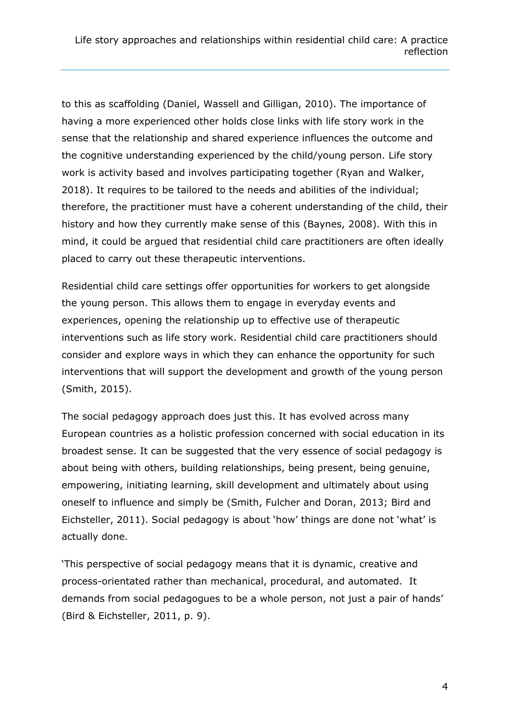to this as scaffolding (Daniel, Wassell and Gilligan, 2010). The importance of having a more experienced other holds close links with life story work in the sense that the relationship and shared experience influences the outcome and the cognitive understanding experienced by the child/young person. Life story work is activity based and involves participating together (Ryan and Walker, 2018). It requires to be tailored to the needs and abilities of the individual; therefore, the practitioner must have a coherent understanding of the child, their history and how they currently make sense of this (Baynes, 2008). With this in mind, it could be argued that residential child care practitioners are often ideally placed to carry out these therapeutic interventions.

Residential child care settings offer opportunities for workers to get alongside the young person. This allows them to engage in everyday events and experiences, opening the relationship up to effective use of therapeutic interventions such as life story work. Residential child care practitioners should consider and explore ways in which they can enhance the opportunity for such interventions that will support the development and growth of the young person (Smith, 2015).

The social pedagogy approach does just this. It has evolved across many European countries as a holistic profession concerned with social education in its broadest sense. It can be suggested that the very essence of social pedagogy is about being with others, building relationships, being present, being genuine, empowering, initiating learning, skill development and ultimately about using oneself to influence and simply be (Smith, Fulcher and Doran, 2013; Bird and Eichsteller, 2011). Social pedagogy is about 'how' things are done not 'what' is actually done.

'This perspective of social pedagogy means that it is dynamic, creative and process-orientated rather than mechanical, procedural, and automated. It demands from social pedagogues to be a whole person, not just a pair of hands' (Bird & Eichsteller, 2011, p. 9).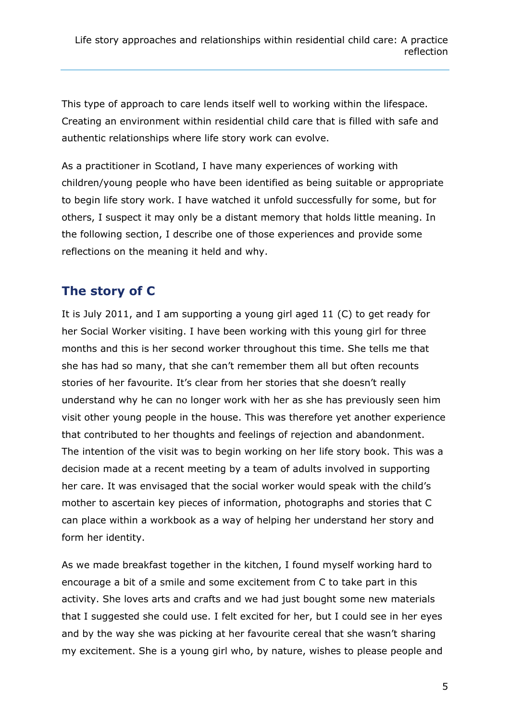This type of approach to care lends itself well to working within the lifespace. Creating an environment within residential child care that is filled with safe and authentic relationships where life story work can evolve.

As a practitioner in Scotland, I have many experiences of working with children/young people who have been identified as being suitable or appropriate to begin life story work. I have watched it unfold successfully for some, but for others, I suspect it may only be a distant memory that holds little meaning. In the following section, I describe one of those experiences and provide some reflections on the meaning it held and why.

### **The story of C**

It is July 2011, and I am supporting a young girl aged 11 (C) to get ready for her Social Worker visiting. I have been working with this young girl for three months and this is her second worker throughout this time. She tells me that she has had so many, that she can't remember them all but often recounts stories of her favourite. It's clear from her stories that she doesn't really understand why he can no longer work with her as she has previously seen him visit other young people in the house. This was therefore yet another experience that contributed to her thoughts and feelings of rejection and abandonment. The intention of the visit was to begin working on her life story book. This was a decision made at a recent meeting by a team of adults involved in supporting her care. It was envisaged that the social worker would speak with the child's mother to ascertain key pieces of information, photographs and stories that C can place within a workbook as a way of helping her understand her story and form her identity.

As we made breakfast together in the kitchen, I found myself working hard to encourage a bit of a smile and some excitement from C to take part in this activity. She loves arts and crafts and we had just bought some new materials that I suggested she could use. I felt excited for her, but I could see in her eyes and by the way she was picking at her favourite cereal that she wasn't sharing my excitement. She is a young girl who, by nature, wishes to please people and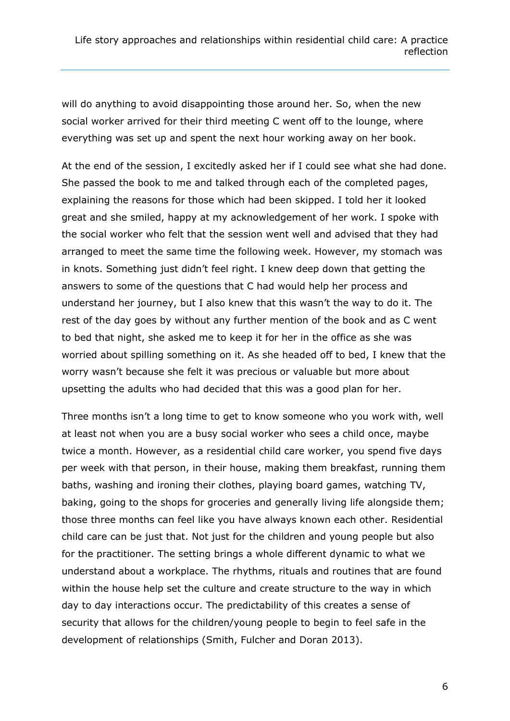will do anything to avoid disappointing those around her. So, when the new social worker arrived for their third meeting C went off to the lounge, where everything was set up and spent the next hour working away on her book.

At the end of the session, I excitedly asked her if I could see what she had done. She passed the book to me and talked through each of the completed pages, explaining the reasons for those which had been skipped. I told her it looked great and she smiled, happy at my acknowledgement of her work. I spoke with the social worker who felt that the session went well and advised that they had arranged to meet the same time the following week. However, my stomach was in knots. Something just didn't feel right. I knew deep down that getting the answers to some of the questions that C had would help her process and understand her journey, but I also knew that this wasn't the way to do it. The rest of the day goes by without any further mention of the book and as C went to bed that night, she asked me to keep it for her in the office as she was worried about spilling something on it. As she headed off to bed, I knew that the worry wasn't because she felt it was precious or valuable but more about upsetting the adults who had decided that this was a good plan for her.

Three months isn't a long time to get to know someone who you work with, well at least not when you are a busy social worker who sees a child once, maybe twice a month. However, as a residential child care worker, you spend five days per week with that person, in their house, making them breakfast, running them baths, washing and ironing their clothes, playing board games, watching TV, baking, going to the shops for groceries and generally living life alongside them; those three months can feel like you have always known each other. Residential child care can be just that. Not just for the children and young people but also for the practitioner. The setting brings a whole different dynamic to what we understand about a workplace. The rhythms, rituals and routines that are found within the house help set the culture and create structure to the way in which day to day interactions occur. The predictability of this creates a sense of security that allows for the children/young people to begin to feel safe in the development of relationships (Smith, Fulcher and Doran 2013).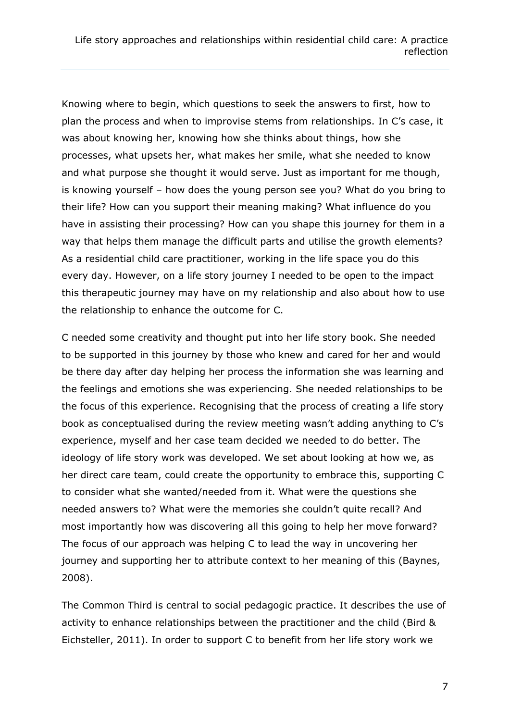Knowing where to begin, which questions to seek the answers to first, how to plan the process and when to improvise stems from relationships. In C's case, it was about knowing her, knowing how she thinks about things, how she processes, what upsets her, what makes her smile, what she needed to know and what purpose she thought it would serve. Just as important for me though, is knowing yourself – how does the young person see you? What do you bring to their life? How can you support their meaning making? What influence do you have in assisting their processing? How can you shape this journey for them in a way that helps them manage the difficult parts and utilise the growth elements? As a residential child care practitioner, working in the life space you do this every day. However, on a life story journey I needed to be open to the impact this therapeutic journey may have on my relationship and also about how to use the relationship to enhance the outcome for C.

C needed some creativity and thought put into her life story book. She needed to be supported in this journey by those who knew and cared for her and would be there day after day helping her process the information she was learning and the feelings and emotions she was experiencing. She needed relationships to be the focus of this experience. Recognising that the process of creating a life story book as conceptualised during the review meeting wasn't adding anything to C's experience, myself and her case team decided we needed to do better. The ideology of life story work was developed. We set about looking at how we, as her direct care team, could create the opportunity to embrace this, supporting C to consider what she wanted/needed from it. What were the questions she needed answers to? What were the memories she couldn't quite recall? And most importantly how was discovering all this going to help her move forward? The focus of our approach was helping C to lead the way in uncovering her journey and supporting her to attribute context to her meaning of this (Baynes, 2008).

The Common Third is central to social pedagogic practice. It describes the use of activity to enhance relationships between the practitioner and the child (Bird & Eichsteller, 2011). In order to support C to benefit from her life story work we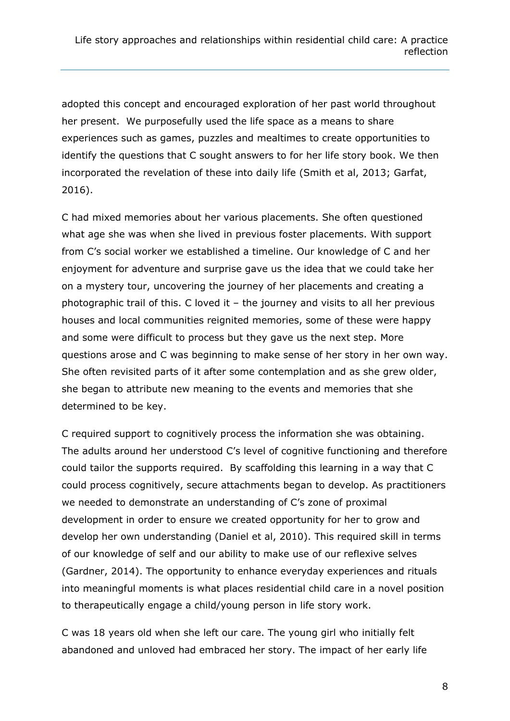adopted this concept and encouraged exploration of her past world throughout her present. We purposefully used the life space as a means to share experiences such as games, puzzles and mealtimes to create opportunities to identify the questions that C sought answers to for her life story book. We then incorporated the revelation of these into daily life (Smith et al, 2013; Garfat, 2016).

C had mixed memories about her various placements. She often questioned what age she was when she lived in previous foster placements. With support from C's social worker we established a timeline. Our knowledge of C and her enjoyment for adventure and surprise gave us the idea that we could take her on a mystery tour, uncovering the journey of her placements and creating a photographic trail of this. C loved it – the journey and visits to all her previous houses and local communities reignited memories, some of these were happy and some were difficult to process but they gave us the next step. More questions arose and C was beginning to make sense of her story in her own way. She often revisited parts of it after some contemplation and as she grew older, she began to attribute new meaning to the events and memories that she determined to be key.

C required support to cognitively process the information she was obtaining. The adults around her understood C's level of cognitive functioning and therefore could tailor the supports required. By scaffolding this learning in a way that C could process cognitively, secure attachments began to develop. As practitioners we needed to demonstrate an understanding of C's zone of proximal development in order to ensure we created opportunity for her to grow and develop her own understanding (Daniel et al, 2010). This required skill in terms of our knowledge of self and our ability to make use of our reflexive selves (Gardner, 2014). The opportunity to enhance everyday experiences and rituals into meaningful moments is what places residential child care in a novel position to therapeutically engage a child/young person in life story work.

C was 18 years old when she left our care. The young girl who initially felt abandoned and unloved had embraced her story. The impact of her early life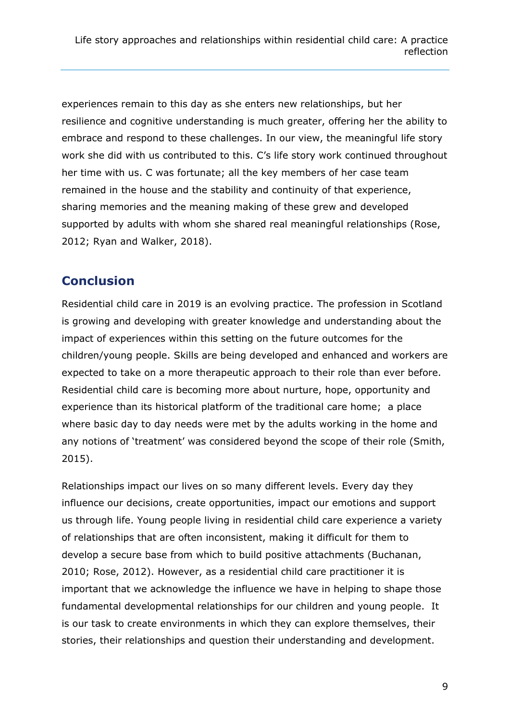experiences remain to this day as she enters new relationships, but her resilience and cognitive understanding is much greater, offering her the ability to embrace and respond to these challenges. In our view, the meaningful life story work she did with us contributed to this. C's life story work continued throughout her time with us. C was fortunate; all the key members of her case team remained in the house and the stability and continuity of that experience, sharing memories and the meaning making of these grew and developed supported by adults with whom she shared real meaningful relationships (Rose, 2012; Ryan and Walker, 2018).

## **Conclusion**

Residential child care in 2019 is an evolving practice. The profession in Scotland is growing and developing with greater knowledge and understanding about the impact of experiences within this setting on the future outcomes for the children/young people. Skills are being developed and enhanced and workers are expected to take on a more therapeutic approach to their role than ever before. Residential child care is becoming more about nurture, hope, opportunity and experience than its historical platform of the traditional care home; a place where basic day to day needs were met by the adults working in the home and any notions of 'treatment' was considered beyond the scope of their role (Smith, 2015).

Relationships impact our lives on so many different levels. Every day they influence our decisions, create opportunities, impact our emotions and support us through life. Young people living in residential child care experience a variety of relationships that are often inconsistent, making it difficult for them to develop a secure base from which to build positive attachments (Buchanan, 2010; Rose, 2012). However, as a residential child care practitioner it is important that we acknowledge the influence we have in helping to shape those fundamental developmental relationships for our children and young people. It is our task to create environments in which they can explore themselves, their stories, their relationships and question their understanding and development.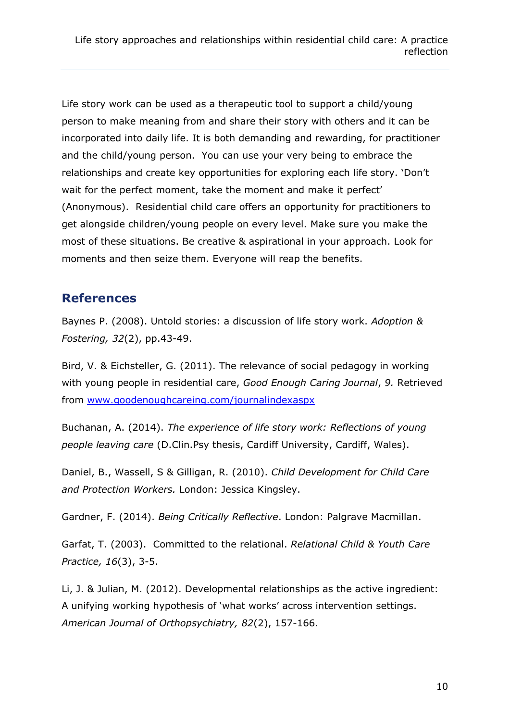Life story work can be used as a therapeutic tool to support a child/young person to make meaning from and share their story with others and it can be incorporated into daily life. It is both demanding and rewarding, for practitioner and the child/young person. You can use your very being to embrace the relationships and create key opportunities for exploring each life story. 'Don't wait for the perfect moment, take the moment and make it perfect' (Anonymous). Residential child care offers an opportunity for practitioners to get alongside children/young people on every level. Make sure you make the most of these situations. Be creative & aspirational in your approach. Look for moments and then seize them. Everyone will reap the benefits.

#### **References**

Baynes P. (2008). Untold stories: a discussion of life story work. *Adoption & Fostering, 32*(2), pp.43-49.

Bird, V. & Eichsteller, G. (2011). The relevance of social pedagogy in working with young people in residential care, *Good Enough Caring Journal*, *9.* Retrieved from [www.goodenoughcareing.com/journalindexaspx](http://www.goodenoughcareing.com/journalindexaspx)

Buchanan, A. (2014). *The experience of life story work: Reflections of young people leaving care* (D.Clin.Psy thesis, Cardiff University, Cardiff, Wales).

Daniel, B., Wassell, S & Gilligan, R. (2010). *Child Development for Child Care and Protection Workers.* London: Jessica Kingsley.

Gardner, F. (2014). *Being Critically Reflective*. London: Palgrave Macmillan.

Garfat, T. (2003). Committed to the relational. *Relational Child & Youth Care Practice, 16*(3), 3-5.

Li, J. & Julian, M. (2012). Developmental relationships as the active ingredient: A unifying working hypothesis of 'what works' across intervention settings. *American Journal of Orthopsychiatry, 82*(2), 157-166.